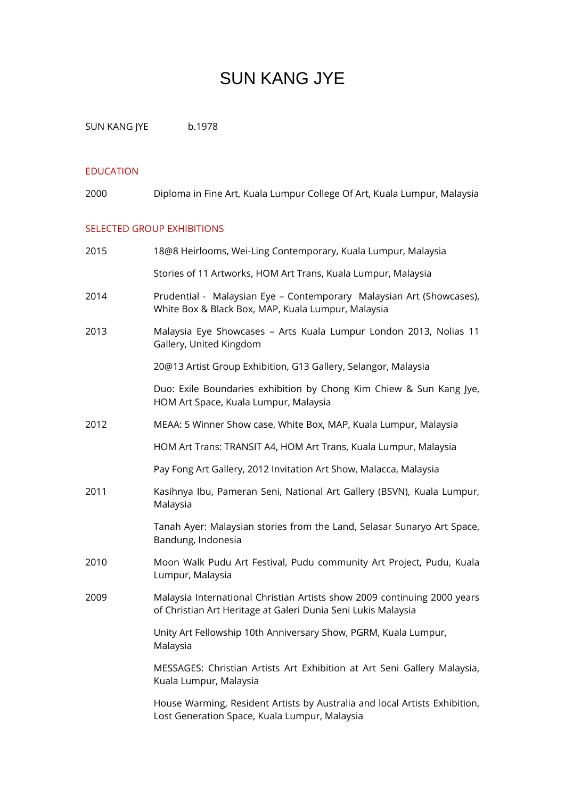# SUN KANG JYE

SUN KANG JYE b.1978

## EDUCATION

| 2000 | Diploma in Fine Art, Kuala Lumpur College Of Art, Kuala Lumpur, Malaysia |  |  |  |
|------|--------------------------------------------------------------------------|--|--|--|
|------|--------------------------------------------------------------------------|--|--|--|

## SELECTED GROUP EXHIBITIONS

| 2015 | 18@8 Heirlooms, Wei-Ling Contemporary, Kuala Lumpur, Malaysia                                                                             |
|------|-------------------------------------------------------------------------------------------------------------------------------------------|
|      | Stories of 11 Artworks, HOM Art Trans, Kuala Lumpur, Malaysia                                                                             |
| 2014 | Prudential - Malaysian Eye - Contemporary Malaysian Art (Showcases),<br>White Box & Black Box, MAP, Kuala Lumpur, Malaysia                |
| 2013 | Malaysia Eye Showcases - Arts Kuala Lumpur London 2013, Nolias 11<br>Gallery, United Kingdom                                              |
|      | 20@13 Artist Group Exhibition, G13 Gallery, Selangor, Malaysia                                                                            |
|      | Duo: Exile Boundaries exhibition by Chong Kim Chiew & Sun Kang Jye,<br>HOM Art Space, Kuala Lumpur, Malaysia                              |
| 2012 | MEAA: 5 Winner Show case, White Box, MAP, Kuala Lumpur, Malaysia                                                                          |
|      | HOM Art Trans: TRANSIT A4, HOM Art Trans, Kuala Lumpur, Malaysia                                                                          |
|      | Pay Fong Art Gallery, 2012 Invitation Art Show, Malacca, Malaysia                                                                         |
| 2011 | Kasihnya Ibu, Pameran Seni, National Art Gallery (BSVN), Kuala Lumpur,<br>Malaysia                                                        |
|      | Tanah Ayer: Malaysian stories from the Land, Selasar Sunaryo Art Space,<br>Bandung, Indonesia                                             |
| 2010 | Moon Walk Pudu Art Festival, Pudu community Art Project, Pudu, Kuala<br>Lumpur, Malaysia                                                  |
| 2009 | Malaysia International Christian Artists show 2009 continuing 2000 years<br>of Christian Art Heritage at Galeri Dunia Seni Lukis Malaysia |
|      | Unity Art Fellowship 10th Anniversary Show, PGRM, Kuala Lumpur,<br>Malaysia                                                               |
|      | MESSAGES: Christian Artists Art Exhibition at Art Seni Gallery Malaysia,<br>Kuala Lumpur, Malaysia                                        |
|      | House Warming, Resident Artists by Australia and local Artists Exhibition,<br>Lost Generation Space, Kuala Lumpur, Malaysia               |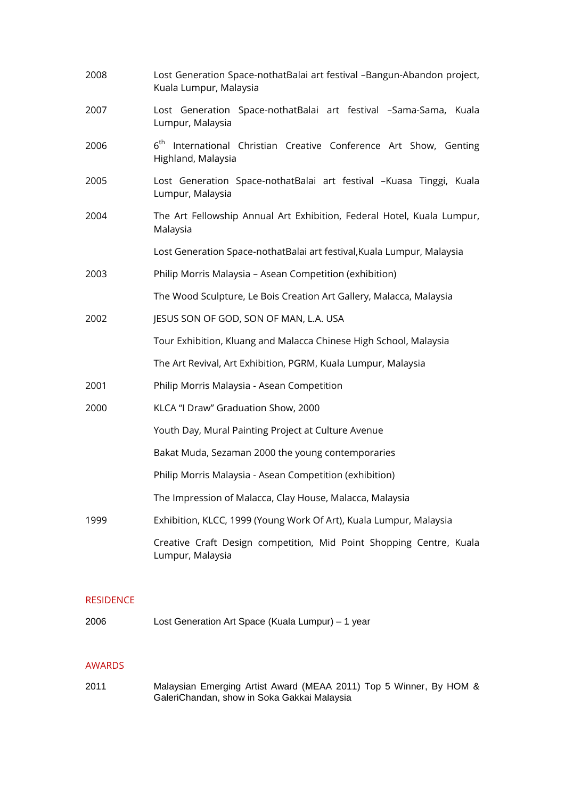| 2008 | Lost Generation Space-nothatBalai art festival -Bangun-Abandon project,<br>Kuala Lumpur, Malaysia   |  |  |
|------|-----------------------------------------------------------------------------------------------------|--|--|
| 2007 | Lost Generation Space-nothatBalai art festival -Sama-Sama, Kuala<br>Lumpur, Malaysia                |  |  |
| 2006 | 6 <sup>th</sup> International Christian Creative Conference Art Show, Genting<br>Highland, Malaysia |  |  |
| 2005 | Lost Generation Space-nothatBalai art festival -Kuasa Tinggi, Kuala<br>Lumpur, Malaysia             |  |  |
| 2004 | The Art Fellowship Annual Art Exhibition, Federal Hotel, Kuala Lumpur,<br>Malaysia                  |  |  |
|      | Lost Generation Space-nothatBalai art festival, Kuala Lumpur, Malaysia                              |  |  |
| 2003 | Philip Morris Malaysia - Asean Competition (exhibition)                                             |  |  |
|      | The Wood Sculpture, Le Bois Creation Art Gallery, Malacca, Malaysia                                 |  |  |
| 2002 | JESUS SON OF GOD, SON OF MAN, L.A. USA                                                              |  |  |
|      | Tour Exhibition, Kluang and Malacca Chinese High School, Malaysia                                   |  |  |
|      | The Art Revival, Art Exhibition, PGRM, Kuala Lumpur, Malaysia                                       |  |  |
| 2001 | Philip Morris Malaysia - Asean Competition                                                          |  |  |
| 2000 | KLCA "I Draw" Graduation Show, 2000                                                                 |  |  |
|      | Youth Day, Mural Painting Project at Culture Avenue                                                 |  |  |
|      | Bakat Muda, Sezaman 2000 the young contemporaries                                                   |  |  |
|      | Philip Morris Malaysia - Asean Competition (exhibition)                                             |  |  |
|      | The Impression of Malacca, Clay House, Malacca, Malaysia                                            |  |  |
| 1999 | Exhibition, KLCC, 1999 (Young Work Of Art), Kuala Lumpur, Malaysia                                  |  |  |
|      | Creative Craft Design competition, Mid Point Shopping Centre, Kuala<br>Lumpur, Malaysia             |  |  |

### RESIDENCE

2006 Lost Generation Art Space (Kuala Lumpur) – 1 year

#### AWARDS

2011 Malaysian Emerging Artist Award (MEAA 2011) Top 5 Winner, By HOM & GaleriChandan, show in Soka Gakkai Malaysia